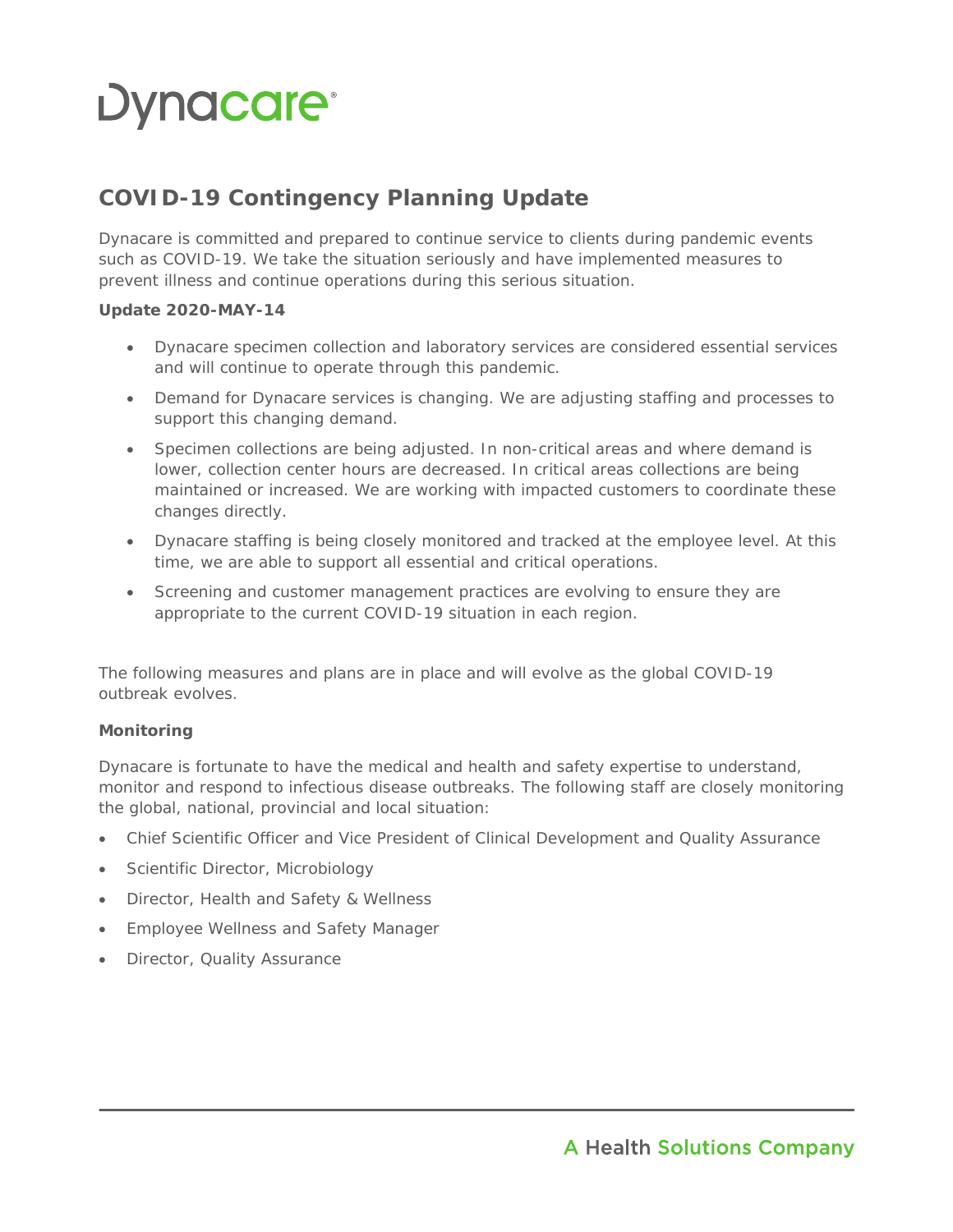# Dynacare<sup>®</sup>

## **COVID-19 Contingency Planning Update**

Dynacare is committed and prepared to continue service to clients during pandemic events such as COVID-19. We take the situation seriously and have implemented measures to prevent illness and continue operations during this serious situation.

#### **Update 2020-MAY-14**

- Dynacare specimen collection and laboratory services are considered essential services and will continue to operate through this pandemic.
- Demand for Dynacare services is changing. We are adjusting staffing and processes to support this changing demand.
- Specimen collections are being adjusted. In non-critical areas and where demand is lower, collection center hours are decreased. In critical areas collections are being maintained or increased. We are working with impacted customers to coordinate these changes directly.
- Dynacare staffing is being closely monitored and tracked at the employee level. At this time, we are able to support all essential and critical operations.
- Screening and customer management practices are evolving to ensure they are appropriate to the current COVID-19 situation in each region.

The following measures and plans are in place and will evolve as the global COVID-19 outbreak evolves.

#### **Monitoring**

Dynacare is fortunate to have the medical and health and safety expertise to understand, monitor and respond to infectious disease outbreaks. The following staff are closely monitoring the global, national, provincial and local situation:

- Chief Scientific Officer and Vice President of Clinical Development and Quality Assurance
- Scientific Director, Microbiology
- Director, Health and Safety & Wellness
- Employee Wellness and Safety Manager
- Director, Quality Assurance